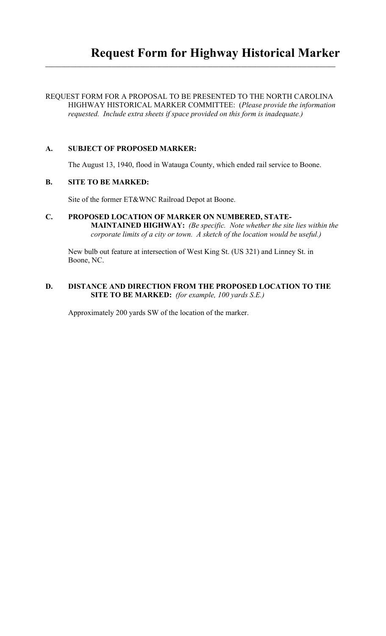# REQUEST FORM FOR A PROPOSAL TO BE PRESENTED TO THE NORTH CAROLINA HIGHWAY HISTORICAL MARKER COMMITTEE: (*Please provide the information requested. Include extra sheets if space provided on this form is inadequate.)*

**\_\_\_\_\_\_\_\_\_\_\_\_\_\_\_\_\_\_\_\_\_\_\_\_\_\_\_\_\_\_\_\_\_\_\_\_\_\_\_\_\_\_\_\_\_\_\_\_\_\_\_\_\_\_\_\_\_\_\_\_\_\_\_\_\_\_\_\_\_\_\_\_\_\_\_\_\_\_\_\_\_\_\_\_\_\_\_\_\_\_\_\_**

# **A. SUBJECT OF PROPOSED MARKER:**

The August 13, 1940, flood in Watauga County, which ended rail service to Boone.

# **B. SITE TO BE MARKED:**

Site of the former ET&WNC Railroad Depot at Boone.

## **C. PROPOSED LOCATION OF MARKER ON NUMBERED, STATE-MAINTAINED HIGHWAY:** *(Be specific. Note whether the site lies within the corporate limits of a city or town. A sketch of the location would be useful.)*

New bulb out feature at intersection of West King St. (US 321) and Linney St. in Boone, NC.

## **D. DISTANCE AND DIRECTION FROM THE PROPOSED LOCATION TO THE SITE TO BE MARKED:** *(for example, 100 yards S.E.)*

Approximately 200 yards SW of the location of the marker.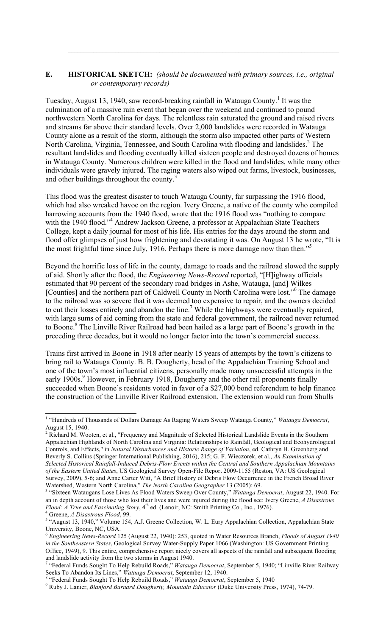## **E. HISTORICAL SKETCH:** *(should be documented with primary sources, i.e., original or contemporary records)*

 $\mathcal{L}_\mathcal{L}$ 

Tuesday, August 13, 1940, saw record-breaking rainfall in Watauga County.<sup>1</sup> It was the culmination of a massive rain event that began over the weekend and continued to pound northwestern North Carolina for days. The relentless rain saturated the ground and raised rivers and streams far above their standard levels. Over 2,000 landslides were recorded in Watauga County alone as a result of the storm, although the storm also impacted other parts of Western North Carolina, Virginia, Tennessee, and South Carolina with flooding and landslides. <sup>2</sup> The resultant landslides and flooding eventually killed sixteen people and destroyed dozens of homes in Watauga County. Numerous children were killed in the flood and landslides, while many other individuals were gravely injured. The raging waters also wiped out farms, livestock, businesses, and other buildings throughout the county.<sup>3</sup>

This flood was the greatest disaster to touch Watauga County, far surpassing the 1916 flood, which had also wreaked havoc on the region. Ivery Greene, a native of the county who compiled harrowing accounts from the 1940 flood, wrote that the 1916 flood was "nothing to compare with the 1940 flood."<sup>4</sup> Andrew Jackson Greene, a professor at Appalachian State Teachers College, kept a daily journal for most of his life. His entries for the days around the storm and flood offer glimpses of just how frightening and devastating it was. On August 13 he wrote, "It is the most frightful time since July, 1916. Perhaps there is more damage now than then."<sup>5</sup>

Beyond the horrific loss of life in the county, damage to roads and the railroad slowed the supply of aid. Shortly after the flood, the *Engineering News-Record* reported, "[H]ighway officials estimated that 90 percent of the secondary road bridges in Ashe, Watauga, [and] Wilkes [Counties] and the northern part of Caldwell County in North Carolina were lost."<sup>6</sup> The damage to the railroad was so severe that it was deemed too expensive to repair, and the owners decided to cut their losses entirely and abandon the line.<sup>7</sup> While the highways were eventually repaired, with large sums of aid coming from the state and federal government, the railroad never returned to Boone.<sup>8</sup> The Linville River Railroad had been hailed as a large part of Boone's growth in the preceding three decades, but it would no longer factor into the town's commercial success.

Trains first arrived in Boone in 1918 after nearly 15 years of attempts by the town's citizens to bring rail to Watauga County. B. B. Dougherty, head of the Appalachian Training School and one of the town's most influential citizens, personally made many unsuccessful attempts in the early 1900s.<sup>9</sup> However, in February 1918, Dougherty and the other rail proponents finally succeeded when Boone's residents voted in favor of a \$27,000 bond referendum to help finance the construction of the Linville River Railroad extension. The extension would run from Shulls

 <sup>1</sup> "Hundreds of Thousands of Dollars Damage As Raging Waters Sweep Watauga County," *Watauga Democrat*, August 15, 1940.<br><sup>2</sup> Richard M. Wooten, et al., "Frequency and Magnitude of Selected Historical Landslide Events in the Southern

Appalachian Highlands of North Carolina and Virginia: Relationships to Rainfall, Geological and Ecohydrological Controls, and Effects," in *Natural Disturbances and Historic Range of Variation*, ed. Cathryn H. Greenberg and Beverly S. Collins (Springer International Publishing, 2016), 215; G. F. Wieczorek, et al., *An Examination of Selected Historical Rainfall-Induced Debris-Flow Events within the Central and Southern Appalachian Mountains of the Eastern United States*, US Geological Survey Open-File Report 2009-1155 (Reston, VA: US Geological Survey, 2009), 5-6; and Anne Carter Witt, "A Brief History of Debris Flow Occurrence in the French Broad River Watershed, Western North Carolina," *The North Carolina Geographer* 13 (2005): 69. <sup>3</sup>

<sup>&</sup>lt;sup>3</sup> "Sixteen Wataugans Lose Lives As Flood Waters Sweep Over County," Watauga Democrat, August 22, 1940. For an in depth account of those who lost their lives and were injured during the flood see: Ivery Greene, *A Disastrous Flood: A True and Fascinating Story*, 4<sup>th</sup> ed. (Lenoir, NC: Smith Printing Co., Inc., 1976). Greene, *A Disastrous Flood*, 99. <sup>5</sup>

<sup>&</sup>lt;sup>5</sup> "August 13, 1940," Volume 154, A.J. Greene Collection, W. L. Eury Appalachian Collection, Appalachian State University, Boone, NC, USA.

<sup>6</sup> *Engineering News-Record* 125 (August 22, 1940): 253, quoted in Water Resources Branch, *Floods of August 1940 in the Southeastern States*, Geological Survey Water-Supply Paper 1066 (Washington: US Government Printing Office, 1949), 9. This entire, comprehensive report nicely covers all aspects of the rainfall and subsequent flooding and landslide activity from the two storms in August 1940. 7 "Federal Funds Sought To Help Rebuild Roads," *Watauga Democrat*, September 5, 1940; "Linville River Railway

Seeks To Abandon Its Lines," *Watauga Democrat*, September 12, 1940.<br><sup>8</sup> "Federal Funds Sought To Help Rebuild Roads," *Watauga Democrat*, September 5, 1940

Ruby J. Lanier, *Blanford Barnard Dougherty, Mountain Educator* (Duke University Press, 1974), 74-79.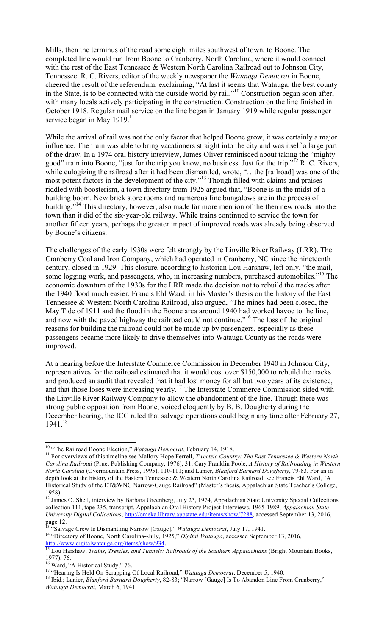Mills, then the terminus of the road some eight miles southwest of town, to Boone. The completed line would run from Boone to Cranberry, North Carolina, where it would connect with the rest of the East Tennessee & Western North Carolina Railroad out to Johnson City, Tennessee. R. C. Rivers, editor of the weekly newspaper the *Watauga Democrat* in Boone, cheered the result of the referendum, exclaiming, "At last it seems that Watauga, the best county in the State, is to be connected with the outside world by rail."<sup>10</sup> Construction began soon after, with many locals actively participating in the construction. Construction on the line finished in October 1918. Regular mail service on the line began in January 1919 while regular passenger service began in May  $1919$ .<sup>11</sup>

While the arrival of rail was not the only factor that helped Boone grow, it was certainly a major influence. The train was able to bring vacationers straight into the city and was itself a large part of the draw. In a 1974 oral history interview, James Oliver reminisced about taking the "mighty good" train into Boone, "just for the trip you know, no business. Just for the trip."12 R. C. Rivers, while eulogizing the railroad after it had been dismantled, wrote, "…the [railroad] was one of the most potent factors in the development of the city."<sup>13</sup> Though filled with claims and praises riddled with boosterism, a town directory from 1925 argued that, "Boone is in the midst of a building boom. New brick store rooms and numerous fine bungalows are in the process of building."<sup>14</sup> This directory, however, also made far more mention of the then new roads into the town than it did of the six-year-old railway. While trains continued to service the town for another fifteen years, perhaps the greater impact of improved roads was already being observed by Boone's citizens.

The challenges of the early 1930s were felt strongly by the Linville River Railway (LRR). The Cranberry Coal and Iron Company, which had operated in Cranberry, NC since the nineteenth century, closed in 1929. This closure, according to historian Lou Harshaw, left only, "the mail, some logging work, and passengers, who, in increasing numbers, purchased automobiles."<sup>15</sup> The economic downturn of the 1930s for the LRR made the decision not to rebuild the tracks after the 1940 flood much easier. Francis Ehl Ward, in his Master's thesis on the history of the East Tennessee & Western North Carolina Railroad, also argued, "The mines had been closed, the May Tide of 1911 and the flood in the Boone area around 1940 had worked havoc to the line, and now with the paved highway the railroad could not continue."16 The loss of the original reasons for building the railroad could not be made up by passengers, especially as these passengers became more likely to drive themselves into Watauga County as the roads were improved.

At a hearing before the Interstate Commerce Commission in December 1940 in Johnson City, representatives for the railroad estimated that it would cost over \$150,000 to rebuild the tracks and produced an audit that revealed that it had lost money for all but two years of its existence, and that those loses were increasing yearly.<sup>17</sup> The Interstate Commerce Commission sided with the Linville River Railway Company to allow the abandonment of the line. Though there was strong public opposition from Boone, voiced eloquently by B. B. Dougherty during the December hearing, the ICC ruled that salvage operations could begin any time after February 27, 1941.<sup>18</sup>

<sup>&</sup>lt;sup>10</sup> "The Railroad Boone Election," *Watauga Democrat*, February 14, 1918.<br><sup>11</sup> For overviews of this timeline see Mallory Hope Ferrell, *Tweetsie Country: The East Tennessee & Western North Carolina Railroad* (Pruet Publishing Company, 1976), 31; Cary Franklin Poole, *A History of Railroading in Western North Carolina* (Overmountain Press, 1995), 110-111; and Lanier, *Blanford Barnard Dougherty*, 79-83. For an in depth look at the history of the Eastern Tennessee & Western North Carolina Railroad, see Francis Ehl Ward, "A Historical Study of the ET&WNC Narrow-Gauge Railroad" (Master's thesis, Appalachian State Teacher's College, 1958).

<sup>&</sup>lt;sup>12</sup> James O. Shell, interview by Barbara Greenberg, July 23, 1974, Appalachian State University Special Collections collection 111, tape 235, transcript, Appalachian Oral History Project Interviews, 1965-1989, *Appalachian State University Digital Collections*, http://omeka.library.appstate.edu/items/show/7288, accessed September 13, 2016, page 12.

<sup>&</sup>lt;sup>13 "</sup>Salvage Crew Is Dismantling Narrow [Gauge]," *Watauga Democrat*, July 17, 1941.<br><sup>14</sup> "Directory of Boone, North Carolina--July, 1925," *Digital Watauga*, accessed September 13, 2016,

<sup>&</sup>lt;sup>14</sup> "Directory of Boone, North Carolina--July, 1925," *Digital Watauga*, accessed September 13, 2016,<br>
http://www.digitalwatauga.org/items/show/934.<br><sup>15</sup> Lou Harshaw, *Trains, Trestles, and Tunnels: Railroads of the South* 

<sup>1977), 76.</sup>

<sup>&</sup>lt;sup>16</sup> Ward, "A Historical Study," 76.<br><sup>17</sup> "Hearing Is Held On Scrapping Of Local Railroad," *Watauga Democrat*, December 5, 1940.

<sup>&</sup>lt;sup>18</sup> Ibid.; Lanier, *Blanford Barnard Dougherty*, 82-83; "Narrow [Gauge] Is To Abandon Line From Cranberry," *Watauga Democrat*, March 6, 1941.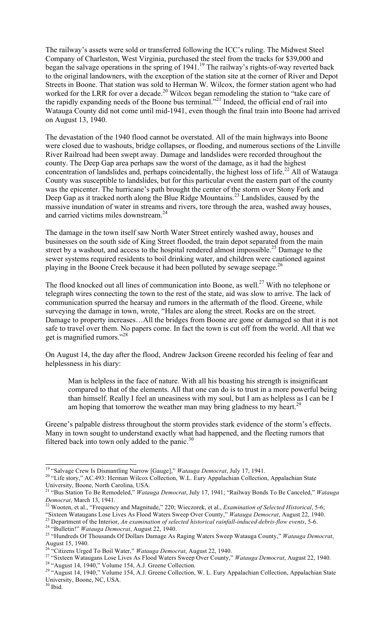The railway's assets were sold or transferred following the ICC's ruling. The Midwest Steel Company of Charleston, West Virginia, purchased the steel from the tracks for \$39,000 and began the salvage operations in the spring of 1941.<sup>19</sup> The railway's rights-of-way reverted back to the original landowners, with the exception of the station site at the corner of River and Depot Streets in Boone. That station was sold to Herman W. Wilcox, the former station agent who had worked for the LRR for over a decade.<sup>20</sup> Wilcox began remodeling the station to "take care of the rapidly expanding needs of the Boone bus terminal."<sup>21</sup> Indeed, the official end of rail into Watauga County did not come until mid-1941, even though the final train into Boone had arrived on August 13, 1940.

The devastation of the 1940 flood cannot be overstated. All of the main highways into Boone were closed due to washouts, bridge collapses, or flooding, and numerous sections of the Linville River Railroad had been swept away. Damage and landslides were recorded throughout the county. The Deep Gap area perhaps saw the worst of the damage, as it had the highest concentration of landslides and, perhaps coincidentally, the highest loss of life.<sup>22</sup> All of Watauga County was susceptible to landslides, but for this particular event the eastern part of the county was the epicenter. The hurricane's path brought the center of the storm over Stony Fork and Deep Gap as it tracked north along the Blue Ridge Mountains.<sup>23</sup> Landslides, caused by the massive inundation of water in streams and rivers, tore through the area, washed away houses, and carried victims miles downstream.24

The damage in the town itself saw North Water Street entirely washed away, houses and businesses on the south side of King Street flooded, the train depot separated from the main street by a washout, and access to the hospital rendered almost impossible.<sup>25</sup> Damage to the sewer systems required residents to boil drinking water, and children were cautioned against playing in the Boone Creek because it had been polluted by sewage seepage.<sup>26</sup>

The flood knocked out all lines of communication into Boone, as well.<sup>27</sup> With no telephone or telegraph wires connecting the town to the rest of the state, aid was slow to arrive. The lack of communication spurred the hearsay and rumors in the aftermath of the flood. Greene, while surveying the damage in town, wrote, "Hales are along the street. Rocks are on the street. Damage to property increases…All the bridges from Boone are gone or damaged so that it is not safe to travel over them. No papers come. In fact the town is cut off from the world. All that we get is magnified rumors."28

On August 14, the day after the flood, Andrew Jackson Greene recorded his feeling of fear and helplessness in his diary:

Man is helpless in the face of nature. With all his boasting his strength is insignificant compared to that of the elements. All that one can do is to trust in a more powerful being than himself. Really I feel an uneasiness with my soul, but I am as helpless as I can be I am hoping that tomorrow the weather man may bring gladness to my heart.<sup>29</sup>

Greene's palpable distress throughout the storm provides stark evidence of the storm's effects. Many in town sought to understand exactly what had happened, and the fleeting rumors that filtered back into town only added to the panic. $30$ 

<sup>&</sup>lt;sup>19</sup> "Salvage Crew Is Dismantling Narrow [Gauge]," *Watauga Democrat*, July 17, 1941.<br><sup>20</sup> "Life story," AC.493: Herman Wilcox Collection, W.L. Eury Appalachian Collection, Appalachian State University, Boone, North Carolina, USA.

<sup>21 &</sup>quot;Bus Station To Be Remodeled," *Watauga Democrat*, July 17, 1941; "Railway Bonds To Be Canceled," *Watauga Democrat*, March 13, 1941.<br><sup>22</sup> Wooten, et al., "Frequency and Magnitude," 220; Wieczorek, et al., *Examination of Selected Historical*, 5-6;<br>"Sixteen Wataugans Lose Lives As Flood Waters Sweep Over County," *Watauga Demo* 

<sup>&</sup>lt;sup>23</sup> Department of the Interior, An examination of selected historical rainfall-induced debris-flow events, 5-6.<br><sup>24</sup> "Bulletin!" *Watauga Democrat*, August 22, 1940.<br><sup>25</sup> "Hundreds Of Thousands Of Dollars Damage As Raging August 15, 1940.<br><sup>26</sup> "Citizens Urged To Boil Water," *Watauga Democrat*, August 22, 1940.

<sup>&</sup>lt;sup>27</sup> "Sixteen Wataugans Lose Lives As Flood Waters Sweep Over County," *Watauga Democrat*, August 22, 1940.

<sup>&</sup>lt;sup>28</sup> "August 14, 1940," Volume 154, A.J. Greene Collection.<br><sup>29</sup> "August 14, 1940," Volume 154, A.J. Greene Collection, W. L. Eury Appalachian Collection, Appalachian State University, Boone, NC, USA.

 $30$  Ibid.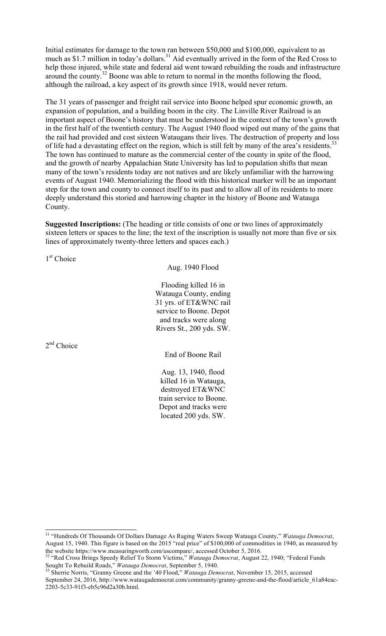Initial estimates for damage to the town ran between \$50,000 and \$100,000, equivalent to as much as \$1.7 million in today's dollars.<sup>31</sup> Aid eventually arrived in the form of the Red Cross to help those injured, while state and federal aid went toward rebuilding the roads and infrastructure around the county.32 Boone was able to return to normal in the months following the flood, although the railroad, a key aspect of its growth since 1918, would never return.

The 31 years of passenger and freight rail service into Boone helped spur economic growth, an expansion of population, and a building boom in the city. The Linville River Railroad is an important aspect of Boone's history that must be understood in the context of the town's growth in the first half of the twentieth century. The August 1940 flood wiped out many of the gains that the rail had provided and cost sixteen Wataugans their lives. The destruction of property and loss of life had a devastating effect on the region, which is still felt by many of the area's residents.<sup>3</sup> The town has continued to mature as the commercial center of the county in spite of the flood, and the growth of nearby Appalachian State University has led to population shifts that mean many of the town's residents today are not natives and are likely unfamiliar with the harrowing events of August 1940. Memorializing the flood with this historical marker will be an important step for the town and county to connect itself to its past and to allow all of its residents to more deeply understand this storied and harrowing chapter in the history of Boone and Watauga County.

**Suggested Inscriptions:** (The heading or title consists of one or two lines of approximately sixteen letters or spaces to the line; the text of the inscription is usually not more than five or six lines of approximately twenty-three letters and spaces each.)

1<sup>st</sup> Choice

Aug. 1940 Flood

Flooding killed 16 in Watauga County, ending 31 yrs. of ET&WNC rail service to Boone. Depot and tracks were along Rivers St., 200 yds. SW.

 $2<sup>nd</sup>$  Choice

End of Boone Rail

Aug. 13, 1940, flood killed 16 in Watauga, destroyed ET&WNC train service to Boone. Depot and tracks were located 200 yds. SW.

 <sup>31 &</sup>quot;Hundreds Of Thousands Of Dollars Damage As Raging Waters Sweep Watauga County," *Watauga Democrat*, August 15, 1940. This figure is based on the 2015 "real price" of \$100,000 of commodities in 1940, as measured by the website https://www.measuringworth.com/uscompare/, accessed October 5, 2016. 32 "Red Cross Brings Speedy Relief To Storm Victims," *Watauga Democrat*, August 22, 1940; "Federal Funds

Sought To Rebuild Roads," *Watauga Democrat*, September 5, 1940.<br><sup>33</sup> Sherrie Norris, "Granny Greene and the '40 Flood," *Watauga Democrat*, November 15, 2015, accessed

September 24, 2016, http://www.wataugademocrat.com/community/granny-greene-and-the-flood/article\_61a84eac-2203-5c33-91f3-eb5c96d2a30b.html.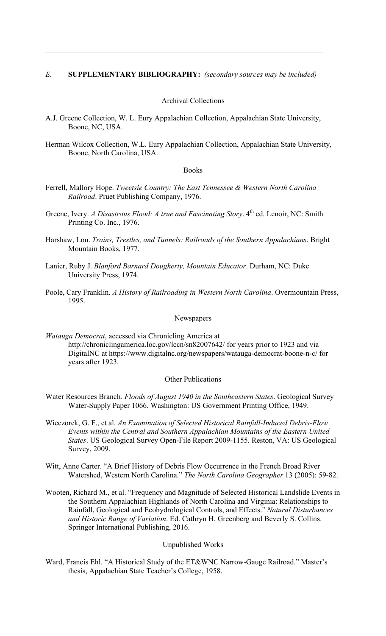### *E.* **SUPPLEMENTARY BIBLIOGRAPHY:** *(secondary sources may be included)*

 $\mathcal{L}_\mathcal{L}$ 

### Archival Collections

- A.J. Greene Collection, W. L. Eury Appalachian Collection, Appalachian State University, Boone, NC, USA.
- Herman Wilcox Collection, W.L. Eury Appalachian Collection, Appalachian State University, Boone, North Carolina, USA.

#### Books

- Ferrell, Mallory Hope. *Tweetsie Country: The East Tennessee & Western North Carolina Railroad*. Pruet Publishing Company, 1976.
- Greene, Ivery. *A Disastrous Flood: A true and Fascinating Story*. 4<sup>th</sup> ed. Lenoir, NC: Smith Printing Co. Inc., 1976.
- Harshaw, Lou. *Trains, Trestles, and Tunnels: Railroads of the Southern Appalachians*. Bright Mountain Books, 1977.
- Lanier, Ruby J. *Blanford Barnard Dougherty, Mountain Educator*. Durham, NC: Duke University Press, 1974.
- Poole, Cary Franklin. *A History of Railroading in Western North Carolina*. Overmountain Press, 1995.

#### Newspapers

*Watauga Democrat*, accessed via Chronicling America at http://chroniclingamerica.loc.gov/lccn/sn82007642/ for years prior to 1923 and via DigitalNC at https://www.digitalnc.org/newspapers/watauga-democrat-boone-n-c/ for years after 1923.

#### Other Publications

- Water Resources Branch. *Floods of August 1940 in the Southeastern States*. Geological Survey Water-Supply Paper 1066. Washington: US Government Printing Office, 1949.
- Wieczorek, G. F., et al. *An Examination of Selected Historical Rainfall-Induced Debris-Flow Events within the Central and Southern Appalachian Mountains of the Eastern United States*. US Geological Survey Open-File Report 2009-1155. Reston, VA: US Geological Survey, 2009.
- Witt, Anne Carter. "A Brief History of Debris Flow Occurrence in the French Broad River Watershed, Western North Carolina." *The North Carolina Geographer* 13 (2005): 59-82.
- Wooten, Richard M., et al. "Frequency and Magnitude of Selected Historical Landslide Events in the Southern Appalachian Highlands of North Carolina and Virginia: Relationships to Rainfall, Geological and Ecohydrological Controls, and Effects." *Natural Disturbances and Historic Range of Variation*. Ed. Cathryn H. Greenberg and Beverly S. Collins. Springer International Publishing, 2016.

#### Unpublished Works

Ward, Francis Ehl. "A Historical Study of the ET&WNC Narrow-Gauge Railroad." Master's thesis, Appalachian State Teacher's College, 1958.